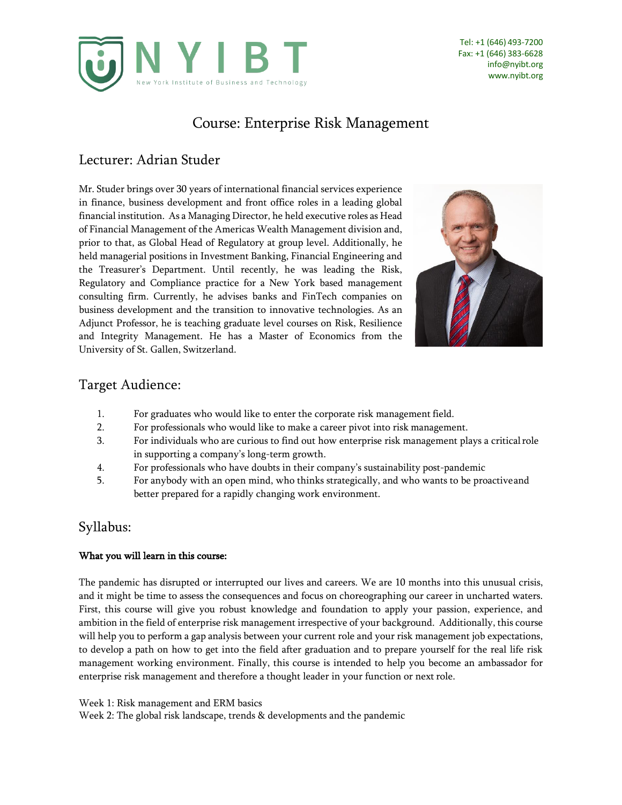

# Course: Enterprise Risk Management

# Lecturer: Adrian Studer

Mr. Studer brings over 30 years of international financial services experience in finance, business development and front office roles in a leading global financial institution. As a Managing Director, he held executive roles as Head of Financial Management of the Americas Wealth Management division and, prior to that, as Global Head of Regulatory at group level. Additionally, he held managerial positions in Investment Banking, Financial Engineering and the Treasurer's Department. Until recently, he was leading the Risk, Regulatory and Compliance practice for a New York based management consulting firm. Currently, he advises banks and FinTech companies on business development and the transition to innovative technologies. As an Adjunct Professor, he is teaching graduate level courses on Risk, Resilience and Integrity Management. He has a Master of Economics from the University of St. Gallen, Switzerland.



### Target Audience:

- 1. For graduates who would like to enter the corporate risk management field.
- 2. For professionals who would like to make a career pivot into risk management.
- 3. For individuals who are curious to find out how enterprise risk management plays a criticalrole in supporting a company's long-term growth.
- 4. For professionals who have doubts in their company's sustainability post-pandemic
- 5. For anybody with an open mind, who thinks strategically, and who wants to be proactiveand better prepared for a rapidly changing work environment.

## Syllabus:

#### What you will learn in this course:

The pandemic has disrupted or interrupted our lives and careers. We are 10 months into this unusual crisis, and it might be time to assess the consequences and focus on choreographing our career in uncharted waters. First, this course will give you robust knowledge and foundation to apply your passion, experience, and ambition in the field of enterprise risk management irrespective of your background. Additionally, this course will help you to perform a gap analysis between your current role and your risk management job expectations, to develop a path on how to get into the field after graduation and to prepare yourself for the real life risk management working environment. Finally, this course is intended to help you become an ambassador for enterprise risk management and therefore a thought leader in your function or next role.

Week 1: Risk management and ERM basics

Week 2: The global risk landscape, trends & developments and the pandemic